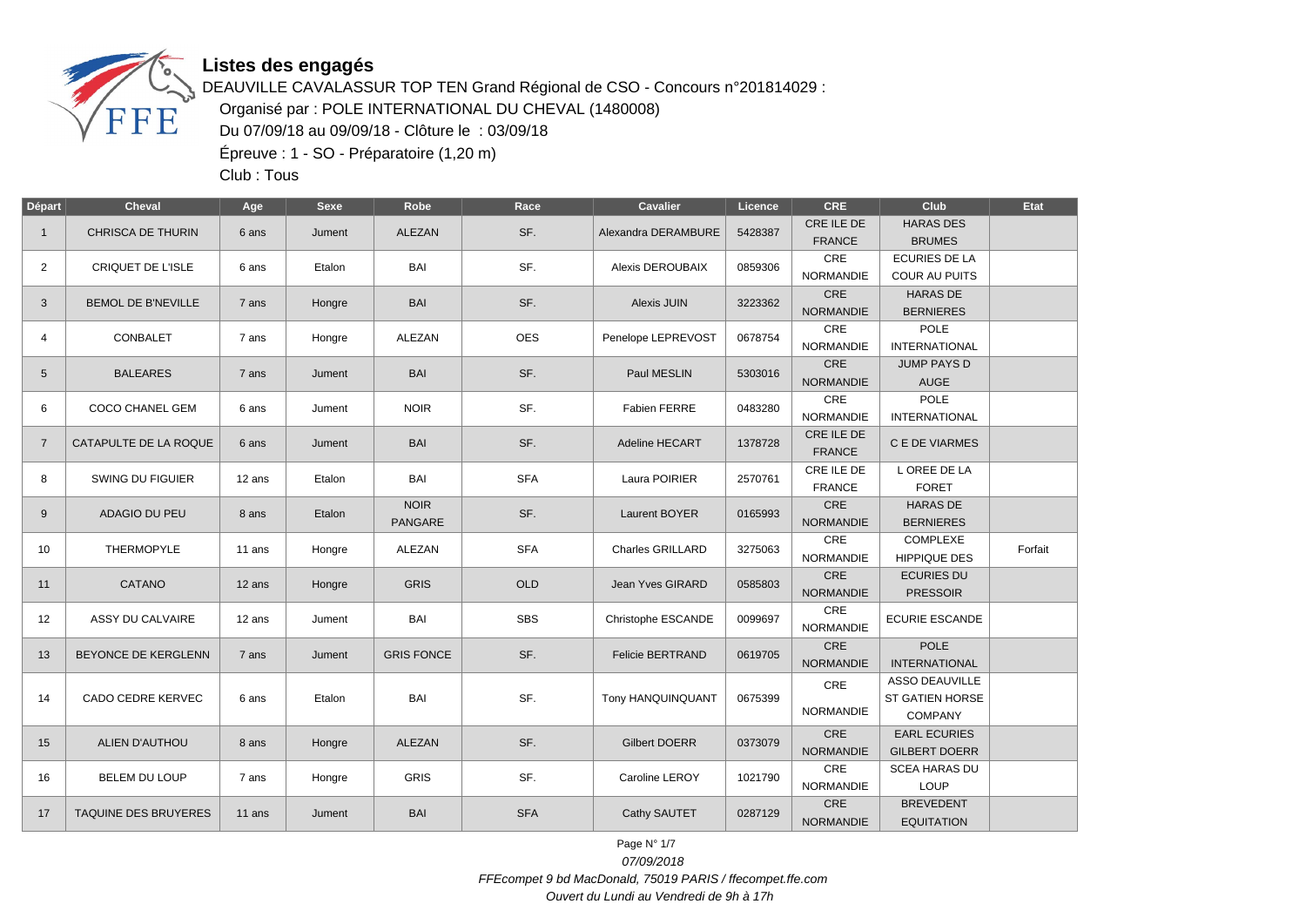

DEAUVILLE CAVALASSUR TOP TEN Grand Régional de CSO - Concours n°201814029 : Organisé par : POLE INTERNATIONAL DU CHEVAL (1480008) Du 07/09/18 au 09/09/18 - Clôture le : 03/09/18 Épreuve : 1 - SO - Préparatoire (1,20 m)

Club : Tous

| Départ         | <b>Cheval</b>             | Age      | Sexe   | Robe                          | Race       | Cavalier                | Licence | <b>CRE</b>                     | Club                                                              | Etat    |
|----------------|---------------------------|----------|--------|-------------------------------|------------|-------------------------|---------|--------------------------------|-------------------------------------------------------------------|---------|
| $\mathbf{1}$   | <b>CHRISCA DE THURIN</b>  | 6 ans    | Jument | ALEZAN                        | SF.        | Alexandra DERAMBURE     | 5428387 | CRE ILE DE<br><b>FRANCE</b>    | <b>HARAS DES</b><br><b>BRUMES</b>                                 |         |
| $\overline{2}$ | <b>CRIQUET DE L'ISLE</b>  | 6 ans    | Etalon | BAI                           | SF.        | <b>Alexis DEROUBAIX</b> | 0859306 | <b>CRE</b><br><b>NORMANDIE</b> | <b>ECURIES DE LA</b><br>COUR AU PUITS                             |         |
| 3              | <b>BEMOL DE B'NEVILLE</b> | 7 ans    | Hongre | <b>BAI</b>                    | SF.        | Alexis JUIN             | 3223362 | CRE<br><b>NORMANDIE</b>        | <b>HARAS DE</b><br><b>BERNIERES</b>                               |         |
| 4              | CONBALET                  | 7 ans    | Hongre | ALEZAN                        | <b>OES</b> | Penelope LEPREVOST      | 0678754 | CRE<br><b>NORMANDIE</b>        | POLE<br><b>INTERNATIONAL</b>                                      |         |
| 5              | <b>BALEARES</b>           | 7 ans    | Jument | <b>BAI</b>                    | SF.        | Paul MESLIN             | 5303016 | CRE<br><b>NORMANDIE</b>        | <b>JUMP PAYS D</b><br><b>AUGE</b>                                 |         |
| 6              | COCO CHANEL GEM           | 6 ans    | Jument | <b>NOIR</b>                   | SF.        | <b>Fabien FERRE</b>     | 0483280 | CRE<br><b>NORMANDIE</b>        | <b>POLE</b><br><b>INTERNATIONAL</b>                               |         |
| $\overline{7}$ | CATAPULTE DE LA ROQUE     | 6 ans    | Jument | <b>BAI</b>                    | SF.        | Adeline HECART          | 1378728 | CRE ILE DE<br><b>FRANCE</b>    | C E DE VIARMES                                                    |         |
| 8              | SWING DU FIGUIER          | 12 ans   | Etalon | <b>BAI</b>                    | <b>SFA</b> | Laura POIRIER           | 2570761 | CRE ILE DE<br><b>FRANCE</b>    | L OREE DE LA<br><b>FORET</b>                                      |         |
| 9              | ADAGIO DU PEU             | 8 ans    | Etalon | <b>NOIR</b><br><b>PANGARE</b> | SF.        | Laurent BOYER           | 0165993 | <b>CRE</b><br><b>NORMANDIE</b> | <b>HARAS DE</b><br><b>BERNIERES</b>                               |         |
| 10             | THERMOPYLE                | 11 ans   | Hongre | ALEZAN                        | <b>SFA</b> | Charles GRILLARD        | 3275063 | CRE<br><b>NORMANDIE</b>        | COMPLEXE<br>HIPPIQUE DES                                          | Forfait |
| 11             | CATANO                    | $12$ ans | Hongre | <b>GRIS</b>                   | OLD        | Jean Yves GIRARD        | 0585803 | CRE<br><b>NORMANDIE</b>        | <b>ECURIES DU</b><br><b>PRESSOIR</b>                              |         |
| 12             | ASSY DU CALVAIRE          | 12 ans   | Jument | BAI                           | <b>SBS</b> | Christophe ESCANDE      | 0099697 | CRE<br><b>NORMANDIE</b>        | <b>ECURIE ESCANDE</b>                                             |         |
| 13             | BEYONCE DE KERGLENN       | 7 ans    | Jument | <b>GRIS FONCE</b>             | SF.        | <b>Felicie BERTRAND</b> | 0619705 | CRE<br><b>NORMANDIE</b>        | <b>POLE</b><br><b>INTERNATIONAL</b>                               |         |
| 14             | CADO CEDRE KERVEC         | 6 ans    | Etalon | BAI                           | SF.        | Tony HANQUINQUANT       | 0675399 | CRE<br>NORMANDIE               | <b>ASSO DEAUVILLE</b><br><b>ST GATIEN HORSE</b><br><b>COMPANY</b> |         |
| 15             | ALIEN D'AUTHOU            | 8 ans    | Hongre | ALEZAN                        | SF.        | <b>Gilbert DOERR</b>    | 0373079 | <b>CRE</b><br><b>NORMANDIE</b> | <b>EARL ECURIES</b><br><b>GILBERT DOERR</b>                       |         |
| 16             | <b>BELEM DU LOUP</b>      | 7 ans    | Hongre | <b>GRIS</b>                   | SF.        | Caroline LEROY          | 1021790 | CRE<br><b>NORMANDIE</b>        | <b>SCEA HARAS DU</b><br>LOUP                                      |         |
| 17             | TAQUINE DES BRUYERES      | 11 ans   | Jument | <b>BAI</b>                    | <b>SFA</b> | Cathy SAUTET            | 0287129 | CRE<br><b>NORMANDIE</b>        | <b>BREVEDENT</b><br><b>EQUITATION</b>                             |         |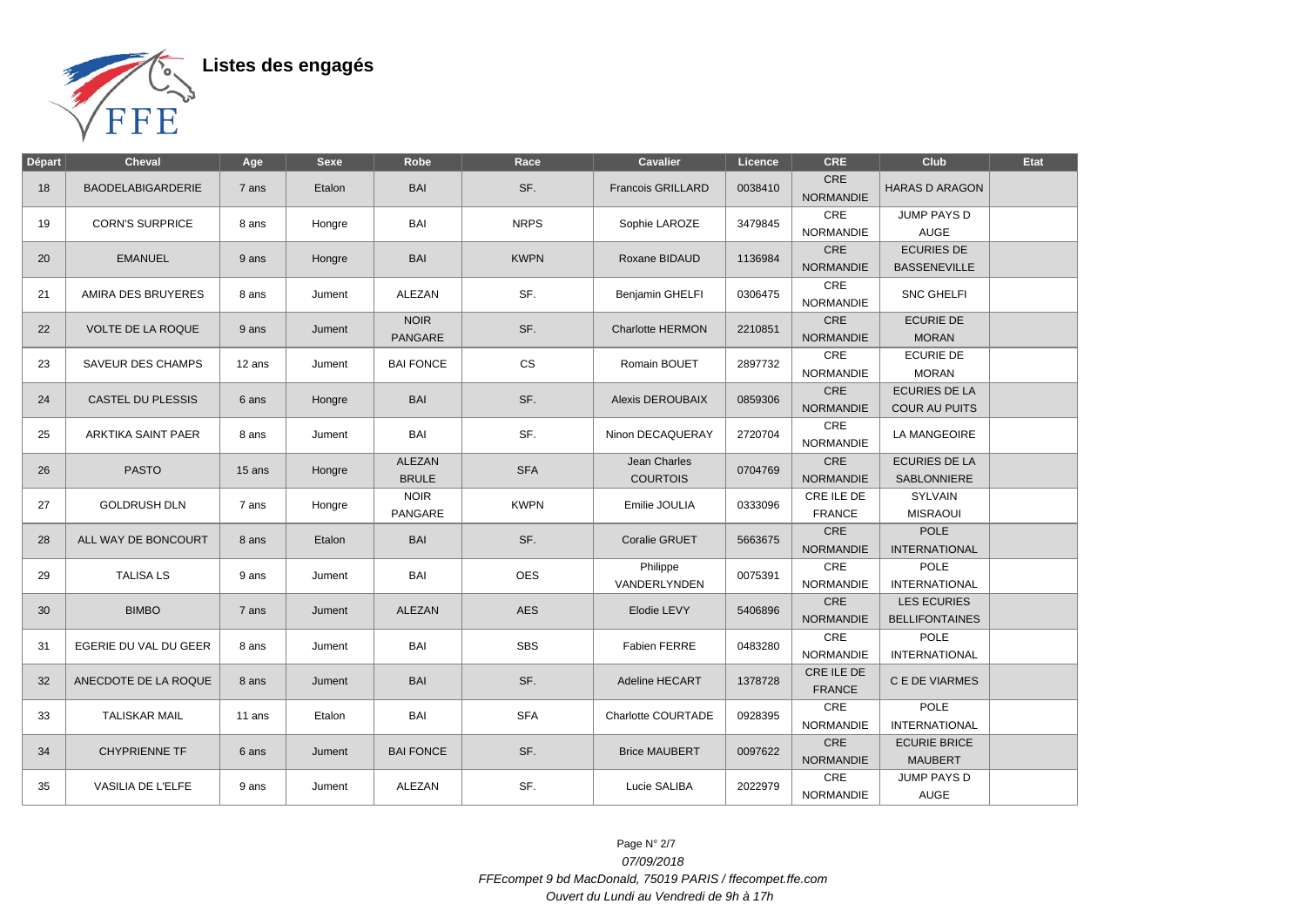

| <b>Départ</b> | <b>Cheval</b>            | Age    | <b>Sexe</b> | Robe                          | Race        | <b>Cavalier</b>                 | Licence | <b>CRE</b>                     | Club                                         | Etat |
|---------------|--------------------------|--------|-------------|-------------------------------|-------------|---------------------------------|---------|--------------------------------|----------------------------------------------|------|
| 18            | <b>BAODELABIGARDERIE</b> | 7 ans  | Etalon      | <b>BAI</b>                    | SF.         | <b>Francois GRILLARD</b>        | 0038410 | <b>CRE</b><br><b>NORMANDIE</b> | <b>HARAS D ARAGON</b>                        |      |
| 19            | <b>CORN'S SURPRICE</b>   | 8 ans  | Hongre      | <b>BAI</b>                    | <b>NRPS</b> | Sophie LAROZE                   | 3479845 | CRE<br><b>NORMANDIE</b>        | JUMP PAYS D<br><b>AUGE</b>                   |      |
| 20            | <b>EMANUEL</b>           | 9 ans  | Hongre      | <b>BAI</b>                    | <b>KWPN</b> | Roxane BIDAUD                   | 1136984 | CRE<br><b>NORMANDIE</b>        | <b>ECURIES DE</b><br><b>BASSENEVILLE</b>     |      |
| 21            | AMIRA DES BRUYERES       | 8 ans  | Jument      | <b>ALEZAN</b>                 | SF.         | Benjamin GHELFI                 | 0306475 | CRE<br><b>NORMANDIE</b>        | <b>SNC GHELFI</b>                            |      |
| 22            | <b>VOLTE DE LA ROQUE</b> | 9 ans  | Jument      | <b>NOIR</b><br><b>PANGARE</b> | SF.         | <b>Charlotte HERMON</b>         | 2210851 | CRE<br><b>NORMANDIE</b>        | <b>ECURIE DE</b><br><b>MORAN</b>             |      |
| 23            | <b>SAVEUR DES CHAMPS</b> | 12 ans | Jument      | <b>BAI FONCE</b>              | <b>CS</b>   | Romain BOUET                    | 2897732 | CRE<br><b>NORMANDIE</b>        | <b>ECURIE DE</b><br><b>MORAN</b>             |      |
| 24            | <b>CASTEL DU PLESSIS</b> | 6 ans  | Hongre      | <b>BAI</b>                    | SF.         | <b>Alexis DEROUBAIX</b>         | 0859306 | CRE<br><b>NORMANDIE</b>        | <b>ECURIES DE LA</b><br><b>COUR AU PUITS</b> |      |
| 25            | ARKTIKA SAINT PAER       | 8 ans  | Jument      | BAI                           | SF.         | Ninon DECAQUERAY                | 2720704 | CRE<br><b>NORMANDIE</b>        | LA MANGEOIRE                                 |      |
| 26            | <b>PASTO</b>             | 15 ans | Hongre      | <b>ALEZAN</b><br><b>BRULE</b> | <b>SFA</b>  | Jean Charles<br><b>COURTOIS</b> | 0704769 | CRE<br><b>NORMANDIE</b>        | <b>ECURIES DE LA</b><br>SABLONNIERE          |      |
| 27            | <b>GOLDRUSH DLN</b>      | 7 ans  | Hongre      | <b>NOIR</b><br><b>PANGARE</b> | <b>KWPN</b> | Emilie JOULIA                   | 0333096 | CRE ILE DE<br><b>FRANCE</b>    | <b>SYLVAIN</b><br><b>MISRAOUI</b>            |      |
| 28            | ALL WAY DE BONCOURT      | 8 ans  | Etalon      | <b>BAI</b>                    | SF.         | Coralie GRUET                   | 5663675 | CRE<br><b>NORMANDIE</b>        | <b>POLE</b><br><b>INTERNATIONAL</b>          |      |
| 29            | <b>TALISA LS</b>         | 9 ans  | Jument      | <b>BAI</b>                    | <b>OES</b>  | Philippe<br><b>VANDERLYNDEN</b> | 0075391 | CRE<br><b>NORMANDIE</b>        | POLE<br><b>INTERNATIONAL</b>                 |      |
| 30            | <b>BIMBO</b>             | 7 ans  | Jument      | <b>ALEZAN</b>                 | <b>AES</b>  | Elodie LEVY                     | 5406896 | CRE<br><b>NORMANDIE</b>        | <b>LES ECURIES</b><br><b>BELLIFONTAINES</b>  |      |
| 31            | EGERIE DU VAL DU GEER    | 8 ans  | Jument      | <b>BAI</b>                    | <b>SBS</b>  | <b>Fabien FERRE</b>             | 0483280 | CRE<br><b>NORMANDIE</b>        | <b>POLE</b><br><b>INTERNATIONAL</b>          |      |
| 32            | ANECDOTE DE LA ROQUE     | 8 ans  | Jument      | <b>BAI</b>                    | SF.         | Adeline HECART                  | 1378728 | CRE ILE DE<br><b>FRANCE</b>    | C E DE VIARMES                               |      |
| 33            | <b>TALISKAR MAIL</b>     | 11 ans | Etalon      | BAI                           | <b>SFA</b>  | Charlotte COURTADE              | 0928395 | CRE<br>NORMANDIE               | <b>POLE</b><br><b>INTERNATIONAL</b>          |      |
| 34            | <b>CHYPRIENNE TF</b>     | 6 ans  | Jument      | <b>BAI FONCE</b>              | SF.         | <b>Brice MAUBERT</b>            | 0097622 | <b>CRE</b><br><b>NORMANDIE</b> | <b>ECURIE BRICE</b><br><b>MAUBERT</b>        |      |
| 35            | VASILIA DE L'ELFE        | 9 ans  | Jument      | ALEZAN                        | SF.         | Lucie SALIBA                    | 2022979 | <b>CRE</b><br><b>NORMANDIE</b> | <b>JUMP PAYS D</b><br><b>AUGE</b>            |      |

Page N° 2/7 07/09/2018 FFEcompet 9 bd MacDonald, 75019 PARIS / ffecompet.ffe.com Ouvert du Lundi au Vendredi de 9h à 17h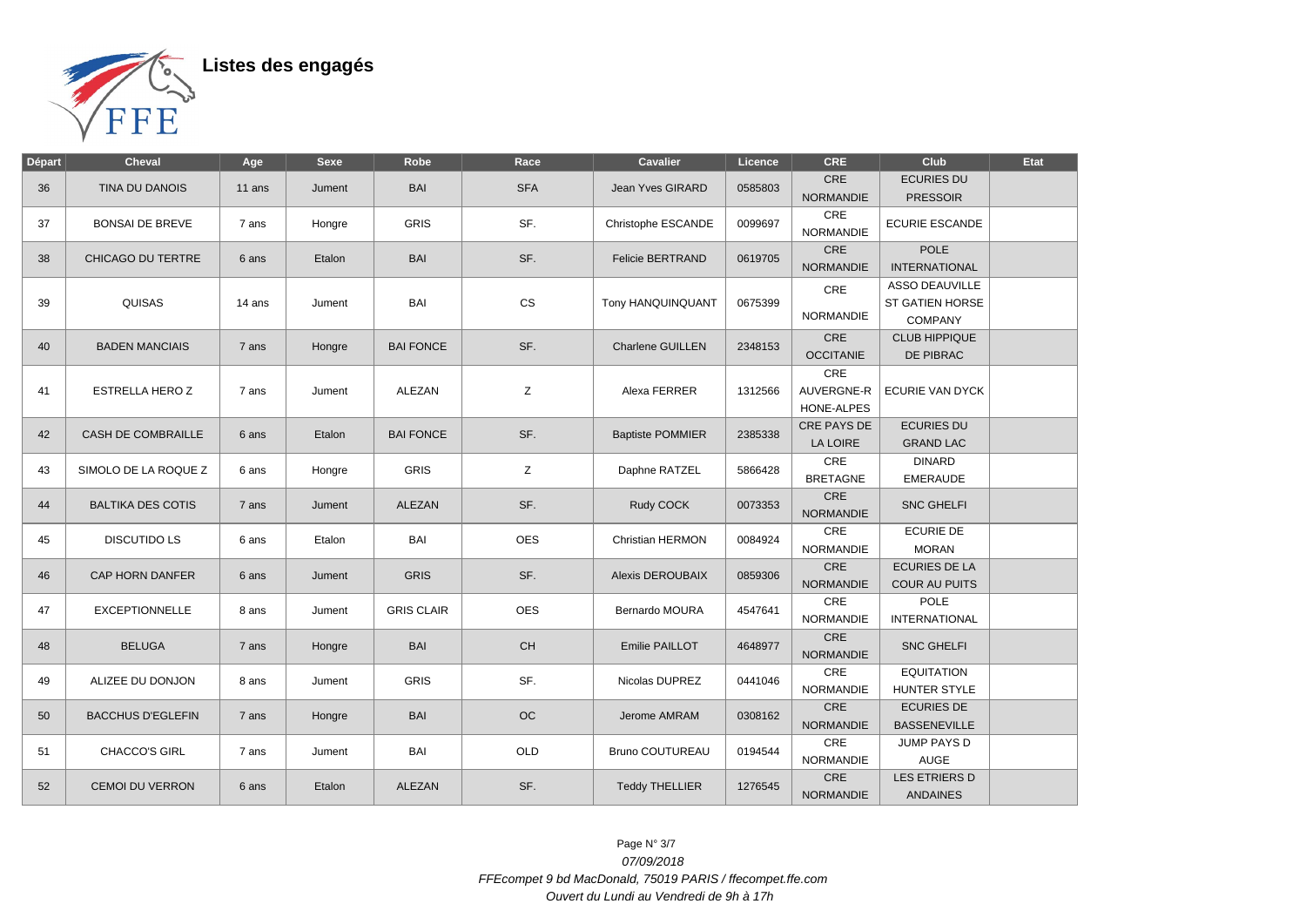

| Départ | <b>Cheval</b>            | Age    | <b>Sexe</b>     | Robe              | Race       | <b>Cavalier</b>         | Licence | <b>CRE</b>              | Club                                                                                                                                                                                                                                                                                                                                                                                                                                                                                                                                                                                                       | Etat |
|--------|--------------------------|--------|-----------------|-------------------|------------|-------------------------|---------|-------------------------|------------------------------------------------------------------------------------------------------------------------------------------------------------------------------------------------------------------------------------------------------------------------------------------------------------------------------------------------------------------------------------------------------------------------------------------------------------------------------------------------------------------------------------------------------------------------------------------------------------|------|
|        |                          |        |                 |                   |            |                         |         | CRE                     | <b>ECURIES DU</b>                                                                                                                                                                                                                                                                                                                                                                                                                                                                                                                                                                                          |      |
| 36     | TINA DU DANOIS           | 11 ans | Jument          | <b>BAI</b>        | <b>SFA</b> | Jean Yves GIRARD        | 0585803 | <b>NORMANDIE</b>        | <b>PRESSOIR</b><br><b>ECURIE ESCANDE</b><br><b>POLE</b><br><b>INTERNATIONAL</b><br>ASSO DEAUVILLE<br><b>ST GATIEN HORSE</b><br><b>COMPANY</b><br><b>CLUB HIPPIQUE</b><br>DE PIBRAC<br>ECURIE VAN DYCK<br><b>ECURIES DU</b><br><b>GRAND LAC</b><br><b>DINARD</b><br><b>EMERAUDE</b><br><b>SNC GHELFI</b><br><b>ECURIE DE</b><br><b>MORAN</b><br><b>ECURIES DE LA</b><br><b>COUR AU PUITS</b><br><b>POLE</b><br><b>INTERNATIONAL</b><br><b>SNC GHELFI</b><br><b>EQUITATION</b><br><b>HUNTER STYLE</b><br><b>ECURIES DE</b><br><b>BASSENEVILLE</b><br>JUMP PAYS D<br>AUGE<br>LES ETRIERS D<br><b>ANDAINES</b> |      |
| 37     | <b>BONSAI DE BREVE</b>   | 7 ans  | Hongre          | <b>GRIS</b>       | SF.        | Christophe ESCANDE      | 0099697 | CRE<br><b>NORMANDIE</b> |                                                                                                                                                                                                                                                                                                                                                                                                                                                                                                                                                                                                            |      |
|        |                          |        | Etalon          | <b>BAI</b>        | SF.        |                         |         | <b>CRE</b>              |                                                                                                                                                                                                                                                                                                                                                                                                                                                                                                                                                                                                            |      |
| 38     | CHICAGO DU TERTRE        | 6 ans  |                 |                   |            | <b>Felicie BERTRAND</b> | 0619705 | <b>NORMANDIE</b>        |                                                                                                                                                                                                                                                                                                                                                                                                                                                                                                                                                                                                            |      |
|        |                          |        |                 |                   |            |                         |         | CRE                     |                                                                                                                                                                                                                                                                                                                                                                                                                                                                                                                                                                                                            |      |
| 39     | QUISAS                   | 14 ans | Jument          | BAI               | <b>CS</b>  | Tony HANQUINQUANT       | 0675399 |                         |                                                                                                                                                                                                                                                                                                                                                                                                                                                                                                                                                                                                            |      |
|        |                          |        |                 |                   |            |                         |         | NORMANDIE               |                                                                                                                                                                                                                                                                                                                                                                                                                                                                                                                                                                                                            |      |
|        |                          |        |                 |                   |            |                         |         | <b>CRE</b>              |                                                                                                                                                                                                                                                                                                                                                                                                                                                                                                                                                                                                            |      |
| 40     | <b>BADEN MANCIAIS</b>    | 7 ans  | Hongre          | <b>BAI FONCE</b>  | SF.        | Charlene GUILLEN        | 2348153 | <b>OCCITANIE</b>        |                                                                                                                                                                                                                                                                                                                                                                                                                                                                                                                                                                                                            |      |
|        |                          |        |                 |                   |            |                         |         | CRE                     |                                                                                                                                                                                                                                                                                                                                                                                                                                                                                                                                                                                                            |      |
| 41     | <b>ESTRELLA HERO Z</b>   | 7 ans  | Jument          | <b>ALEZAN</b>     | Z          | Alexa FERRER            | 1312566 | AUVERGNE-R              |                                                                                                                                                                                                                                                                                                                                                                                                                                                                                                                                                                                                            |      |
|        |                          |        |                 |                   |            |                         |         | HONE-ALPES              |                                                                                                                                                                                                                                                                                                                                                                                                                                                                                                                                                                                                            |      |
|        |                          |        |                 |                   | SF.        |                         |         | CRE PAYS DE             |                                                                                                                                                                                                                                                                                                                                                                                                                                                                                                                                                                                                            |      |
| 42     | CASH DE COMBRAILLE       | 6 ans  | Etalon          | <b>BAI FONCE</b>  |            | <b>Baptiste POMMIER</b> | 2385338 | <b>LA LOIRE</b>         |                                                                                                                                                                                                                                                                                                                                                                                                                                                                                                                                                                                                            |      |
|        |                          |        |                 |                   |            |                         |         | CRE                     |                                                                                                                                                                                                                                                                                                                                                                                                                                                                                                                                                                                                            |      |
| 43     | SIMOLO DE LA ROQUE Z     | 6 ans  | Hongre          | <b>GRIS</b>       | Z          | Daphne RATZEL           | 5866428 | <b>BRETAGNE</b>         |                                                                                                                                                                                                                                                                                                                                                                                                                                                                                                                                                                                                            |      |
|        | <b>BALTIKA DES COTIS</b> |        |                 | <b>ALEZAN</b>     | SF.        |                         | 0073353 | CRE                     |                                                                                                                                                                                                                                                                                                                                                                                                                                                                                                                                                                                                            |      |
| 44     |                          | 7 ans  | Jument          |                   |            | Rudy COCK               |         | <b>NORMANDIE</b>        |                                                                                                                                                                                                                                                                                                                                                                                                                                                                                                                                                                                                            |      |
|        | <b>DISCUTIDO LS</b>      |        | Etalon          | BAI               | <b>OES</b> | Christian HERMON        | 0084924 | CRE                     |                                                                                                                                                                                                                                                                                                                                                                                                                                                                                                                                                                                                            |      |
| 45     |                          | 6 ans  |                 |                   |            |                         |         | <b>NORMANDIE</b>        |                                                                                                                                                                                                                                                                                                                                                                                                                                                                                                                                                                                                            |      |
| 46     | CAP HORN DANFER          | 6 ans  | Jument          | <b>GRIS</b>       | SF.        | <b>Alexis DEROUBAIX</b> | 0859306 | CRE                     |                                                                                                                                                                                                                                                                                                                                                                                                                                                                                                                                                                                                            |      |
|        |                          |        |                 |                   |            |                         |         | <b>NORMANDIE</b>        |                                                                                                                                                                                                                                                                                                                                                                                                                                                                                                                                                                                                            |      |
| 47     | <b>EXCEPTIONNELLE</b>    | 8 ans  | Jument          | <b>GRIS CLAIR</b> | <b>OES</b> | Bernardo MOURA          | 4547641 | CRE                     |                                                                                                                                                                                                                                                                                                                                                                                                                                                                                                                                                                                                            |      |
|        |                          |        |                 |                   |            |                         |         | <b>NORMANDIE</b>        |                                                                                                                                                                                                                                                                                                                                                                                                                                                                                                                                                                                                            |      |
| 48     | <b>BELUGA</b>            | 7 ans  | Hongre          | <b>BAI</b>        | <b>CH</b>  | Emilie PAILLOT          | 4648977 | CRE                     |                                                                                                                                                                                                                                                                                                                                                                                                                                                                                                                                                                                                            |      |
|        |                          |        |                 |                   |            |                         |         | <b>NORMANDIE</b>        |                                                                                                                                                                                                                                                                                                                                                                                                                                                                                                                                                                                                            |      |
| 49     | ALIZEE DU DONJON         | 8 ans  | Jument          | <b>GRIS</b>       | SF.        | Nicolas DUPREZ          | 0441046 | <b>CRE</b>              |                                                                                                                                                                                                                                                                                                                                                                                                                                                                                                                                                                                                            |      |
|        |                          |        |                 |                   |            |                         |         | <b>NORMANDIE</b>        |                                                                                                                                                                                                                                                                                                                                                                                                                                                                                                                                                                                                            |      |
| 50     | <b>BACCHUS D'EGLEFIN</b> | 7 ans  | Hongre          | <b>BAI</b>        | <b>OC</b>  | Jerome AMRAM            | 0308162 | CRE                     |                                                                                                                                                                                                                                                                                                                                                                                                                                                                                                                                                                                                            |      |
|        |                          |        |                 |                   |            |                         |         | <b>NORMANDIE</b>        |                                                                                                                                                                                                                                                                                                                                                                                                                                                                                                                                                                                                            |      |
| 51     | <b>CHACCO'S GIRL</b>     |        | 7 ans<br>Jument | BAI               | OLD        | <b>Bruno COUTUREAU</b>  | 0194544 | CRE                     |                                                                                                                                                                                                                                                                                                                                                                                                                                                                                                                                                                                                            |      |
|        |                          |        |                 |                   |            |                         |         | NORMANDIE               |                                                                                                                                                                                                                                                                                                                                                                                                                                                                                                                                                                                                            |      |
| 52     | <b>CEMOI DU VERRON</b>   | 6 ans  | Etalon          | <b>ALEZAN</b>     | SF.        | <b>Teddy THELLIER</b>   | 1276545 | <b>CRE</b>              |                                                                                                                                                                                                                                                                                                                                                                                                                                                                                                                                                                                                            |      |
|        |                          |        |                 |                   |            |                         |         | <b>NORMANDIE</b>        |                                                                                                                                                                                                                                                                                                                                                                                                                                                                                                                                                                                                            |      |

Page N° 3/7 07/09/2018 FFEcompet 9 bd MacDonald, 75019 PARIS / ffecompet.ffe.com Ouvert du Lundi au Vendredi de 9h à 17h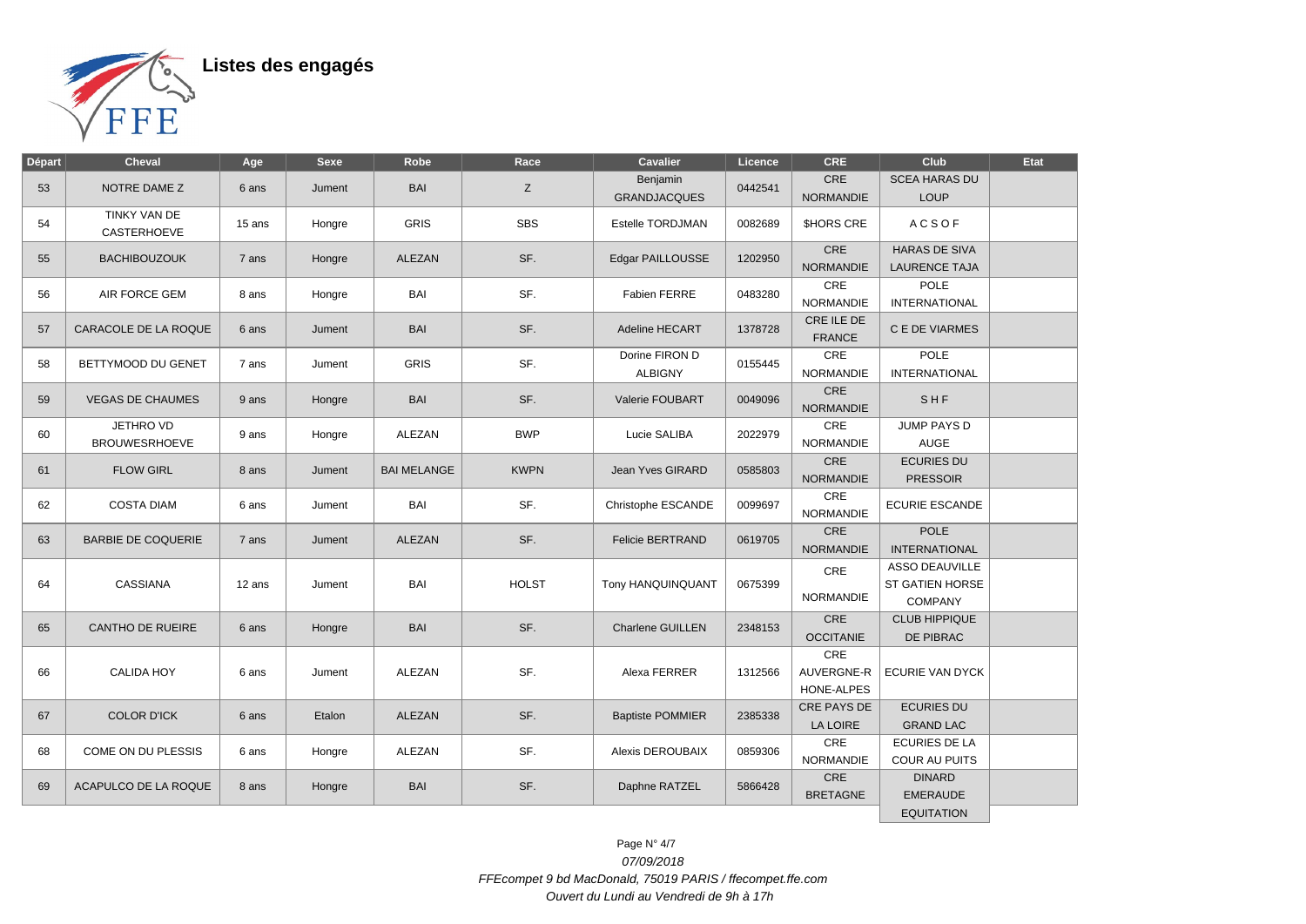

| 53 |                                           |        |        |                    |              |                                  |         |                                 |                                                            |  |
|----|-------------------------------------------|--------|--------|--------------------|--------------|----------------------------------|---------|---------------------------------|------------------------------------------------------------|--|
|    | NOTRE DAME Z                              | 6 ans  | Jument | <b>BAI</b>         | Z            | Benjamin<br><b>GRANDJACQUES</b>  | 0442541 | <b>CRE</b><br><b>NORMANDIE</b>  | <b>SCEA HARAS DU</b><br><b>LOUP</b>                        |  |
| 54 | <b>TINKY VAN DE</b><br><b>CASTERHOEVE</b> | 15 ans | Hongre | <b>GRIS</b>        | <b>SBS</b>   | Estelle TORDJMAN                 | 0082689 | <b>SHORS CRE</b>                | <b>ACSOF</b>                                               |  |
| 55 | <b>BACHIBOUZOUK</b>                       | 7 ans  | Hongre | ALEZAN             | SF.          | Edgar PAILLOUSSE                 | 1202950 | CRE<br><b>NORMANDIE</b>         | <b>HARAS DE SIVA</b><br><b>LAURENCE TAJA</b>               |  |
| 56 | AIR FORCE GEM                             | 8 ans  | Hongre | BAI                | SF.          | Fabien FERRE                     | 0483280 | CRE<br><b>NORMANDIE</b>         | <b>POLE</b><br><b>INTERNATIONAL</b>                        |  |
| 57 | CARACOLE DE LA ROQUE                      | 6 ans  | Jument | BAI                | SF.          | Adeline HECART                   | 1378728 | CRE ILE DE<br><b>FRANCE</b>     | C E DE VIARMES                                             |  |
| 58 | BETTYMOOD DU GENET                        | 7 ans  | Jument | <b>GRIS</b>        | SF.          | Dorine FIRON D<br><b>ALBIGNY</b> | 0155445 | CRE<br><b>NORMANDIE</b>         | POLE<br><b>INTERNATIONAL</b>                               |  |
| 59 | <b>VEGAS DE CHAUMES</b>                   | 9 ans  | Hongre | <b>BAI</b>         | SF.          | Valerie FOUBART                  | 0049096 | CRE<br><b>NORMANDIE</b>         | SHF                                                        |  |
| 60 | JETHRO VD<br><b>BROUWESRHOEVE</b>         | 9 ans  | Hongre | ALEZAN             | <b>BWP</b>   | Lucie SALIBA                     | 2022979 | CRE<br><b>NORMANDIE</b>         | <b>JUMP PAYS D</b><br><b>AUGE</b>                          |  |
| 61 | <b>FLOW GIRL</b>                          | 8 ans  | Jument | <b>BAI MELANGE</b> | <b>KWPN</b>  | Jean Yves GIRARD                 | 0585803 | CRE<br><b>NORMANDIE</b>         | <b>ECURIES DU</b><br><b>PRESSOIR</b>                       |  |
| 62 | <b>COSTA DIAM</b>                         | 6 ans  | Jument | BAI                | SF.          | Christophe ESCANDE               | 0099697 | CRE<br><b>NORMANDIE</b>         | <b>ECURIE ESCANDE</b>                                      |  |
| 63 | <b>BARBIE DE COQUERIE</b>                 | 7 ans  | Jument | <b>ALEZAN</b>      | SF.          | <b>Felicie BERTRAND</b>          | 0619705 | CRE<br><b>NORMANDIE</b>         | <b>POLE</b><br><b>INTERNATIONAL</b>                        |  |
| 64 | CASSIANA                                  | 12 ans | Jument | BAI                | <b>HOLST</b> | Tony HANQUINQUANT                | 0675399 | CRE<br><b>NORMANDIE</b>         | <b>ASSO DEAUVILLE</b><br>ST GATIEN HORSE<br><b>COMPANY</b> |  |
| 65 | <b>CANTHO DE RUEIRE</b>                   | 6 ans  | Hongre | BAI                | SF.          | <b>Charlene GUILLEN</b>          | 2348153 | CRE<br><b>OCCITANIE</b>         | <b>CLUB HIPPIQUE</b><br>DE PIBRAC                          |  |
| 66 | <b>CALIDA HOY</b>                         | 6 ans  | Jument | <b>ALEZAN</b>      | SF.          | Alexa FERRER                     | 1312566 | CRE<br>AUVERGNE-R<br>HONE-ALPES | <b>ECURIE VAN DYCK</b>                                     |  |
| 67 | <b>COLOR D'ICK</b>                        | 6 ans  | Etalon | <b>ALEZAN</b>      | SF.          | <b>Baptiste POMMIER</b>          | 2385338 | CRE PAYS DE<br>LA LOIRE         | <b>ECURIES DU</b><br><b>GRAND LAC</b>                      |  |
| 68 | COME ON DU PLESSIS                        | 6 ans  | Hongre | ALEZAN             | SF.          | Alexis DEROUBAIX                 | 0859306 | CRE<br><b>NORMANDIE</b>         | <b>ECURIES DE LA</b><br><b>COUR AU PUITS</b>               |  |
| 69 | ACAPULCO DE LA ROQUE                      | 8 ans  | Hongre | BAI                | SF.          | Daphne RATZEL                    | 5866428 | CRE<br><b>BRETAGNE</b>          | <b>DINARD</b><br><b>EMERAUDE</b><br><b>EQUITATION</b>      |  |

Page N° 4/7 07/09/2018 FFEcompet 9 bd MacDonald, 75019 PARIS / ffecompet.ffe.com Ouvert du Lundi au Vendredi de 9h à 17h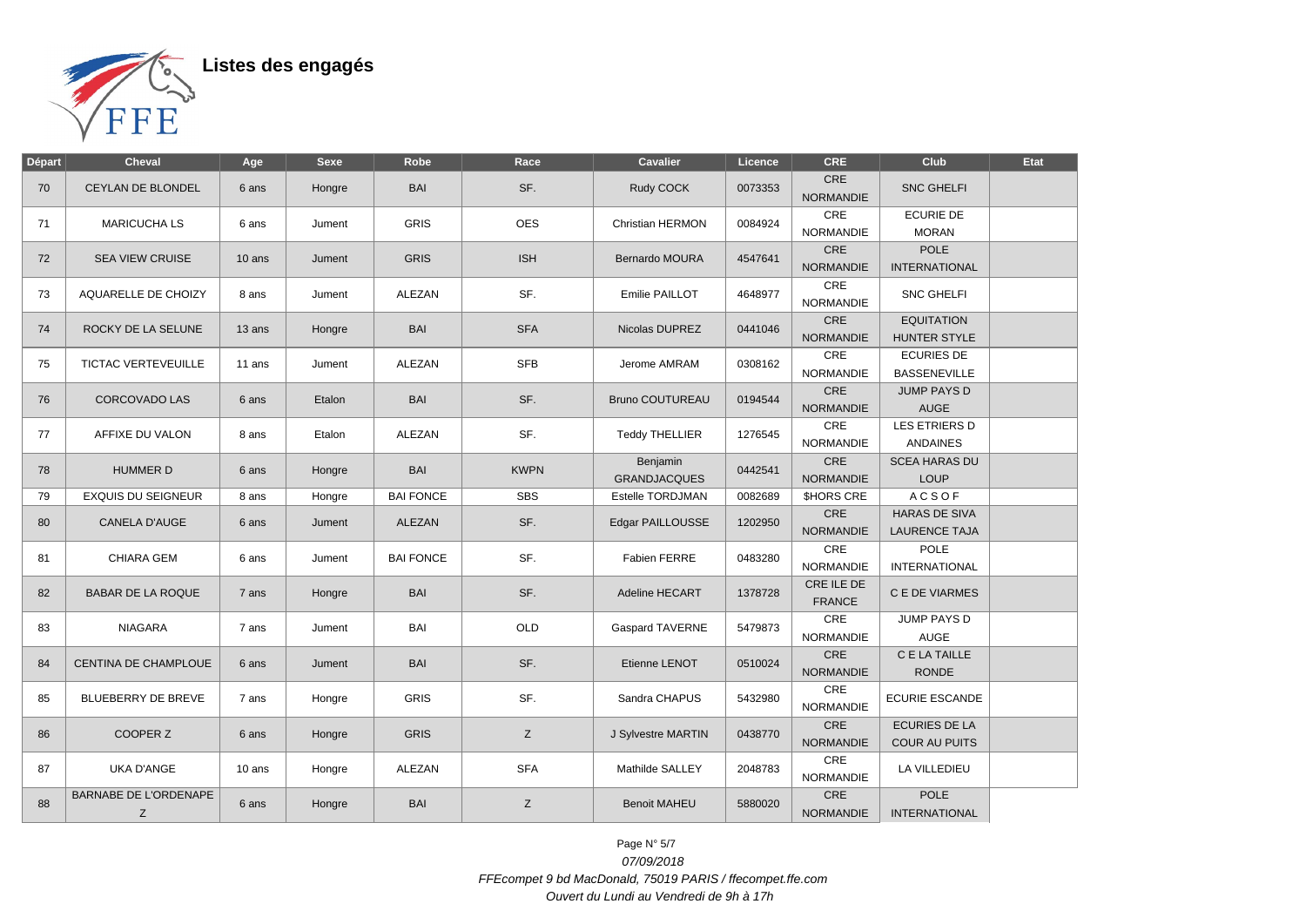

| <b>Départ</b> | <b>Cheval</b>                     | Age      | <b>Sexe</b> | Robe             | Race        | <b>Cavalier</b>                        | Licence | <b>CRE</b>                     | Club                                         | Etat |
|---------------|-----------------------------------|----------|-------------|------------------|-------------|----------------------------------------|---------|--------------------------------|----------------------------------------------|------|
| 70            | CEYLAN DE BLONDEL                 | 6 ans    | Hongre      | BAI              | SF.         | Rudy COCK                              | 0073353 | <b>CRE</b><br><b>NORMANDIE</b> | <b>SNC GHELFI</b>                            |      |
| 71            | <b>MARICUCHA LS</b>               | 6 ans    | Jument      | <b>GRIS</b>      | <b>OES</b>  | Christian HERMON                       | 0084924 | CRE<br><b>NORMANDIE</b>        | <b>ECURIE DE</b><br><b>MORAN</b>             |      |
| 72            | SEA VIEW CRUISE                   | $10$ ans | Jument      | <b>GRIS</b>      | <b>ISH</b>  | <b>Bernardo MOURA</b>                  | 4547641 | CRE<br><b>NORMANDIE</b>        | POLE<br><b>INTERNATIONAL</b>                 |      |
| 73            | AQUARELLE DE CHOIZY               | 8 ans    | Jument      | ALEZAN           | SF.         | Emilie PAILLOT                         | 4648977 | CRE<br><b>NORMANDIE</b>        | <b>SNC GHELFI</b>                            |      |
| 74            | ROCKY DE LA SELUNE                | 13 ans   | Hongre      | <b>BAI</b>       | <b>SFA</b>  | Nicolas DUPREZ                         | 0441046 | CRE<br><b>NORMANDIE</b>        | <b>EQUITATION</b><br><b>HUNTER STYLE</b>     |      |
| 75            | <b>TICTAC VERTEVEUILLE</b>        | 11 ans   | Jument      | ALEZAN           | <b>SFB</b>  | Jerome AMRAM                           | 0308162 | CRE<br><b>NORMANDIE</b>        | <b>ECURIES DE</b><br><b>BASSENEVILLE</b>     |      |
| 76            | <b>CORCOVADO LAS</b>              | 6 ans    | Etalon      | BAI              | SF.         | <b>Bruno COUTUREAU</b>                 | 0194544 | CRE<br>NORMANDIE               | <b>JUMP PAYS D</b><br><b>AUGE</b>            |      |
| 77            | AFFIXE DU VALON                   | 8 ans    | Etalon      | ALEZAN           | SF.         | <b>Teddy THELLIER</b>                  | 1276545 | CRE<br><b>NORMANDIE</b>        | LES ETRIERS D<br><b>ANDAINES</b>             |      |
| 78            | <b>HUMMER D</b>                   | 6 ans    | Hongre      | BAI              | <b>KWPN</b> | <b>Benjamin</b><br><b>GRANDJACQUES</b> | 0442541 | CRE<br><b>NORMANDIE</b>        | <b>SCEA HARAS DU</b><br><b>LOUP</b>          |      |
| 79            | <b>EXQUIS DU SEIGNEUR</b>         | 8 ans    | Hongre      | <b>BAI FONCE</b> | <b>SBS</b>  | Estelle TORDJMAN                       | 0082689 | <b>SHORS CRE</b>               | <b>ACSOF</b>                                 |      |
| 80            | <b>CANELA D'AUGE</b>              | 6 ans    | Jument      | <b>ALEZAN</b>    | SF.         | Edgar PAILLOUSSE                       | 1202950 | CRE<br><b>NORMANDIE</b>        | <b>HARAS DE SIVA</b><br><b>LAURENCE TAJA</b> |      |
| 81            | CHIARA GEM                        | 6 ans    | Jument      | <b>BAI FONCE</b> | SF.         | <b>Fabien FERRE</b>                    | 0483280 | CRE<br><b>NORMANDIE</b>        | <b>POLE</b><br><b>INTERNATIONAL</b>          |      |
| 82            | <b>BABAR DE LA ROQUE</b>          | 7 ans    | Hongre      | <b>BAI</b>       | SF.         | Adeline HECART                         | 1378728 | CRE ILE DE<br><b>FRANCE</b>    | C E DE VIARMES                               |      |
| 83            | <b>NIAGARA</b>                    | 7 ans    | Jument      | BAI              | OLD         | <b>Gaspard TAVERNE</b>                 | 5479873 | CRE<br><b>NORMANDIE</b>        | <b>JUMP PAYS D</b><br><b>AUGE</b>            |      |
| 84            | CENTINA DE CHAMPLOUE              | 6 ans    | Jument      | BAI              | SF.         | Etienne LENOT                          | 0510024 | CRE<br><b>NORMANDIE</b>        | C E LA TAILLE<br><b>RONDE</b>                |      |
| 85            | BLUEBERRY DE BREVE                | 7 ans    | Hongre      | <b>GRIS</b>      | SF.         | Sandra CHAPUS                          | 5432980 | CRE<br><b>NORMANDIE</b>        | <b>ECURIE ESCANDE</b>                        |      |
| 86            | COOPER Z                          | 6 ans    | Hongre      | <b>GRIS</b>      | Z           | J Sylvestre MARTIN                     | 0438770 | CRE<br>NORMANDIE               | <b>ECURIES DE LA</b><br>COUR AU PUITS        |      |
| 87            | <b>UKA D'ANGE</b>                 | 10 ans   | Hongre      | <b>ALEZAN</b>    | <b>SFA</b>  | Mathilde SALLEY                        | 2048783 | CRE<br><b>NORMANDIE</b>        | LA VILLEDIEU                                 |      |
| 88            | <b>BARNABE DE L'ORDENAPE</b><br>Z | 6 ans    | Hongre      | <b>BAI</b>       | Z           | <b>Benoit MAHEU</b>                    | 5880020 | CRE<br><b>NORMANDIE</b>        | <b>POLE</b><br><b>INTERNATIONAL</b>          |      |

Page N° 5/7 07/09/2018 FFEcompet 9 bd MacDonald, 75019 PARIS / ffecompet.ffe.com Ouvert du Lundi au Vendredi de 9h à 17h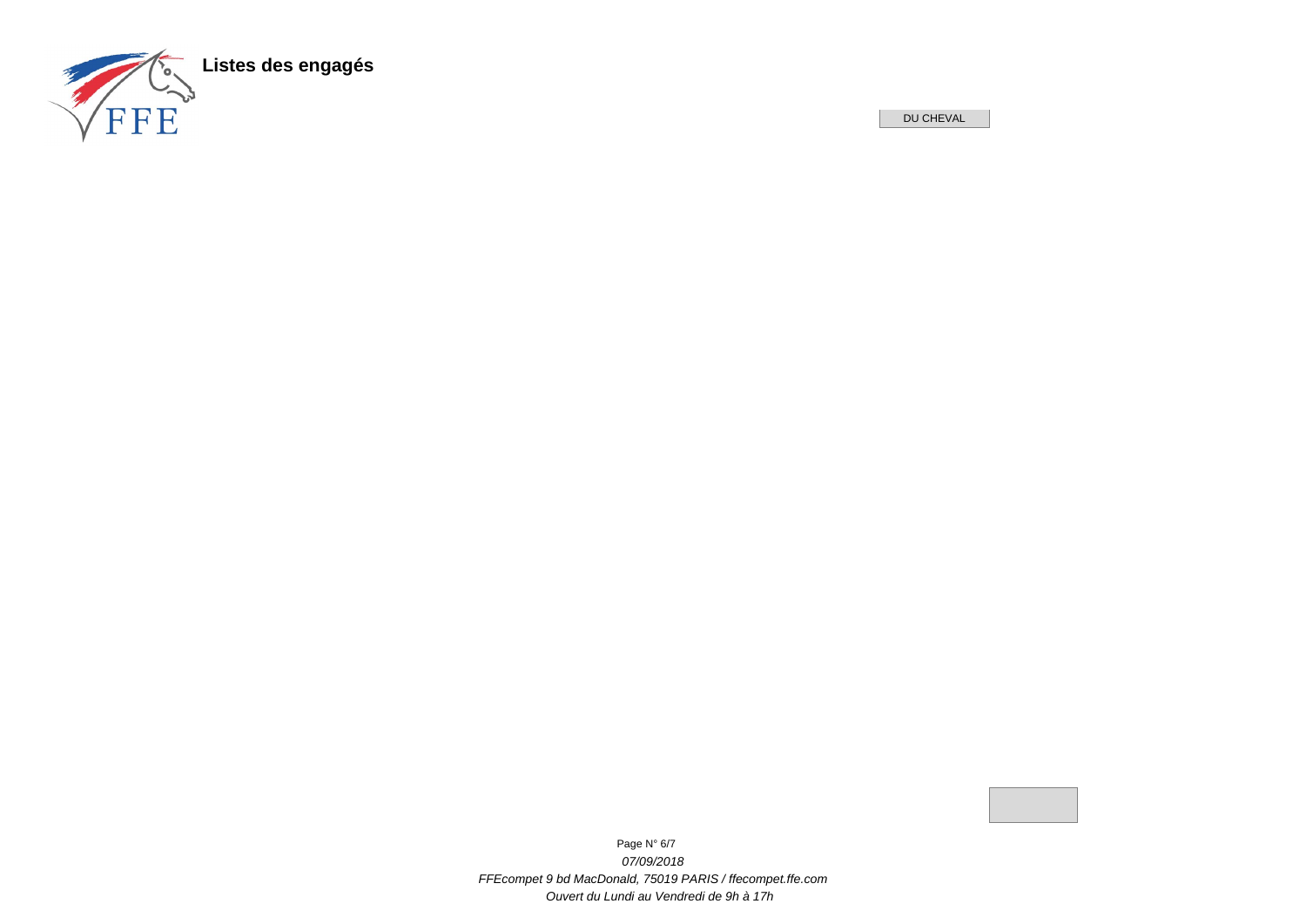

DU CHEVAL



Page N° 6/7 07/09/2018 FFEcompet 9 bd MacDonald, 75019 PARIS / ffecompet.ffe.com Ouvert du Lundi au Vendredi de 9h à 17h